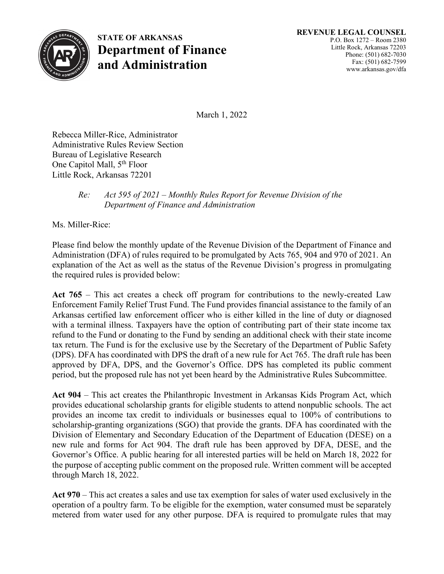

**STATE OF ARKANSAS Department of Finance and Administration**

March 1, 2022

Rebecca Miller-Rice, Administrator Administrative Rules Review Section Bureau of Legislative Research One Capitol Mall, 5<sup>th</sup> Floor Little Rock, Arkansas 72201

## *Re: Act 595 of 2021 – Monthly Rules Report for Revenue Division of the Department of Finance and Administration*

Ms. Miller-Rice:

Please find below the monthly update of the Revenue Division of the Department of Finance and Administration (DFA) of rules required to be promulgated by Acts 765, 904 and 970 of 2021. An explanation of the Act as well as the status of the Revenue Division's progress in promulgating the required rules is provided below:

**Act 765** – This act creates a check off program for contributions to the newly-created Law Enforcement Family Relief Trust Fund. The Fund provides financial assistance to the family of an Arkansas certified law enforcement officer who is either killed in the line of duty or diagnosed with a terminal illness. Taxpayers have the option of contributing part of their state income tax refund to the Fund or donating to the Fund by sending an additional check with their state income tax return. The Fund is for the exclusive use by the Secretary of the Department of Public Safety (DPS). DFA has coordinated with DPS the draft of a new rule for Act 765. The draft rule has been approved by DFA, DPS, and the Governor's Office. DPS has completed its public comment period, but the proposed rule has not yet been heard by the Administrative Rules Subcommittee.

**Act 904** – This act creates the Philanthropic Investment in Arkansas Kids Program Act, which provides educational scholarship grants for eligible students to attend nonpublic schools. The act provides an income tax credit to individuals or businesses equal to 100% of contributions to scholarship-granting organizations (SGO) that provide the grants. DFA has coordinated with the Division of Elementary and Secondary Education of the Department of Education (DESE) on a new rule and forms for Act 904. The draft rule has been approved by DFA, DESE, and the Governor's Office. A public hearing for all interested parties will be held on March 18, 2022 for the purpose of accepting public comment on the proposed rule. Written comment will be accepted through March 18, 2022.

**Act 970** – This act creates a sales and use tax exemption for sales of water used exclusively in the operation of a poultry farm. To be eligible for the exemption, water consumed must be separately metered from water used for any other purpose. DFA is required to promulgate rules that may